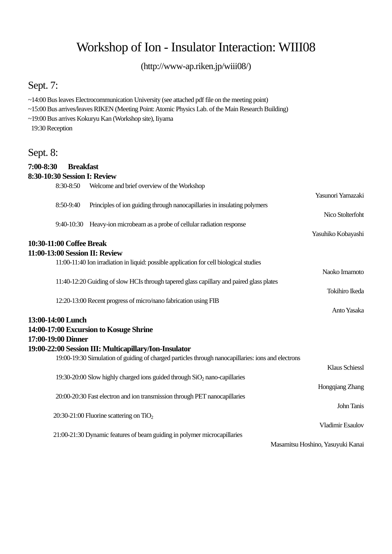# Workshop of Ion - Insulator Interaction: WIII08

(http://www-ap.riken.jp/wiii08/)

## Sept. 7:

- $\sim$ 14:00 Bus leaves Electrocommunication University (see attached pdf file on the meeting point)
- ~15:00 Bus arrives/leaves RIKEN (Meeting Point: Atomic Physics Lab. of the Main Research Building)
- ~19:00 Bus arrives Kokuryu Kan (Workshop site), Iiyama 19:30 Reception

### Sept. 8:

#### **7:00-8:30 Breakfast 8:30-10:30 Session I: Review**  8:30-8:50 Welcome and brief overview of the Workshop Yasunori Yamazaki 8:50-9:40 Principles of ion guiding through nanocapillaries in insulating polymers Nico Stolterfoht 9:40-10:30 Heavy-ion microbeam as a probe of cellular radiation response Yasuhiko Kobayashi **10:30-11:00 Coffee Break 11:00-13:00 Session II: Review**  11:00-11:40 Ion irradiation in liquid: possible application for cell biological studies Naoko Imamoto 11:40-12:20 Guiding of slow HCIs through tapered glass capillary and paired glass plates Tokihiro Ikeda 12:20-13:00 Recent progress of micro/nano fabrication using FIB Anto Yasaka **13:00-14:00 Lunch 14:00-17:00 Excursion to Kosuge Shrine 17:00-19:00 Dinner 19:00-22:00 Session III: Multicapillary/Ion-Insulator**  19:00-19:30 Simulation of guiding of charged particles through nanocapillaries: ions and electrons Klaus Schiessl 19:30-20:00 Slow highly charged ions guided through  $SiO<sub>2</sub>$  nano-capillaries Hongqiang Zhang 20:00-20:30 Fast electron and ion transmission through PET nanocapillaries John Tanis  $20:30-21:00$  Fluorine scattering on TiO<sub>2</sub> Vladimir Esaulov 21:00-21:30 Dynamic features of beam guiding in polymer microcapillaries Masamitsu Hoshino, Yasuyuki Kanai